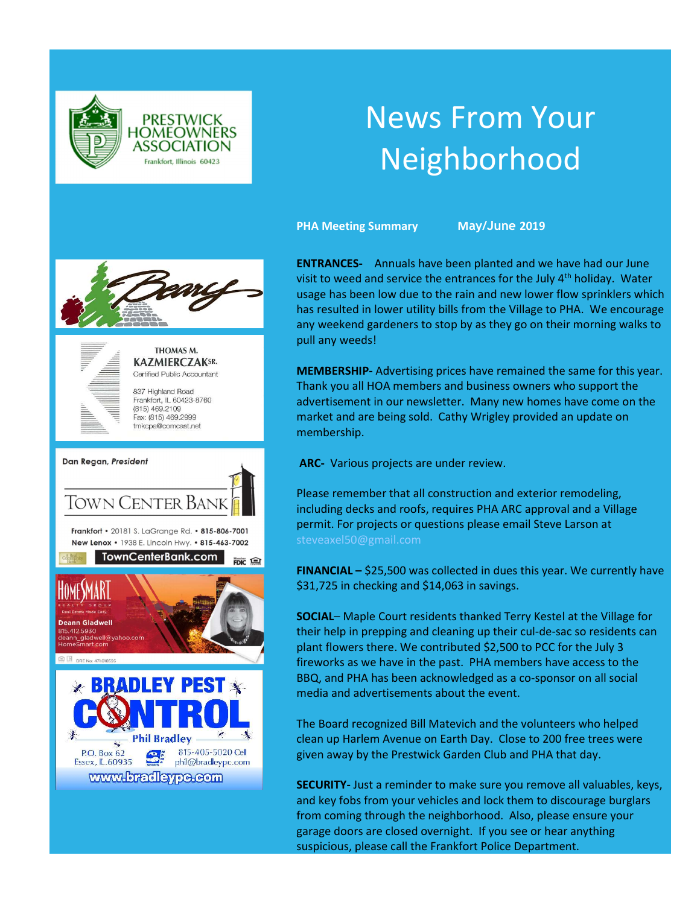

# News From Your Neighborhood

PHA Meeting Summary May/June 2019





THOMAS M. **KAZMIERCZAKSR.** Certified Public Accountant

837 Highland Road Frankfort, IL 60423-8760  $(815)$  469.2109 Fax: (815) 469.2999 tmkcpa@comcast.net



ENTRANCES- Annuals have been planted and we have had our June visit to weed and service the entrances for the July  $4<sup>th</sup>$  holiday. Water usage has been low due to the rain and new lower flow sprinklers which has resulted in lower utility bills from the Village to PHA. We encourage any weekend gardeners to stop by as they go on their morning walks to pull any weeds!

MEMBERSHIP- Advertising prices have remained the same for this year. Thank you all HOA members and business owners who support the advertisement in our newsletter. Many new homes have come on the market and are being sold. Cathy Wrigley provided an update on membership.

ARC- Various projects are under review.

Please remember that all construction and exterior remodeling, including decks and roofs, requires PHA ARC approval and a Village permit. For projects or questions please email Steve Larson at steveaxel50@gmail.com

FINANCIAL – \$25,500 was collected in dues this year. We currently have \$31,725 in checking and \$14,063 in savings.

SOCIAL– Maple Court residents thanked Terry Kestel at the Village for their help in prepping and cleaning up their cul-de-sac so residents can plant flowers there. We contributed \$2,500 to PCC for the July 3 fireworks as we have in the past. PHA members have access to the BBQ, and PHA has been acknowledged as a co-sponsor on all social media and advertisements about the event.

The Board recognized Bill Matevich and the volunteers who helped clean up Harlem Avenue on Earth Day. Close to 200 free trees were given away by the Prestwick Garden Club and PHA that day.

SECURITY- Just a reminder to make sure you remove all valuables, keys, and key fobs from your vehicles and lock them to discourage burglars from coming through the neighborhood. Also, please ensure your garage doors are closed overnight. If you see or hear anything suspicious, please call the Frankfort Police Department.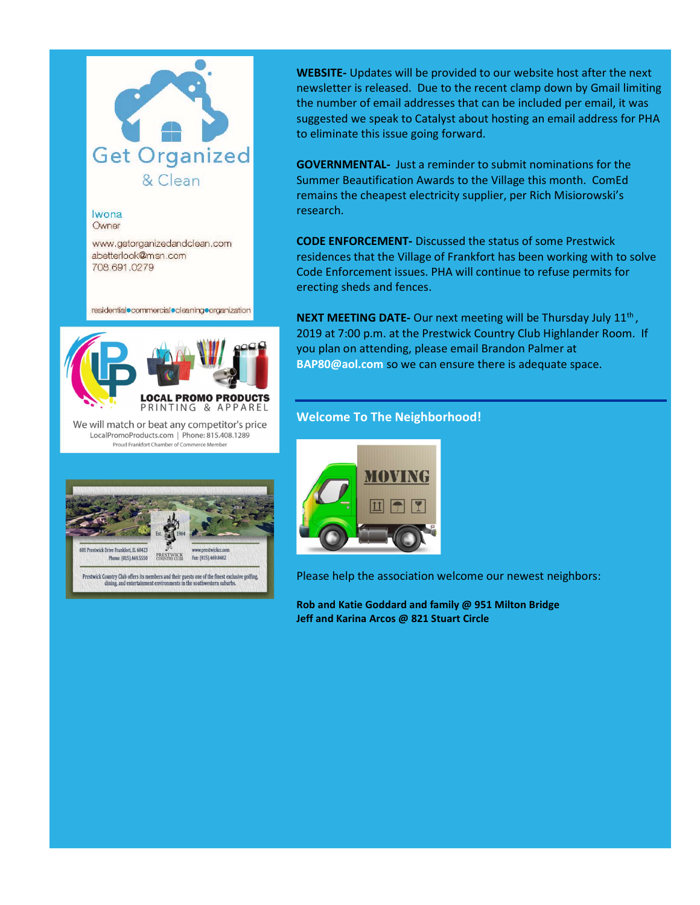

Iwona Owner

www.getorganizedandclean.com abetterlook@msn.com 708.691.0279

residential commercial cleaning crganization

 $\overline{\phantom{a}}$ 



We will match or beat any competitor's price LocalPromoProducts.com | Phone: 815.408.1289 Proud Frankfort Chamber of Commerce Member



Prestwick Country Club offers its members and their guests one of the finest exclusive golfing, dining, and entertainment environments in the southwestern suburbs.

WEBSITE- Updates will be provided to our website host after the next newsletter is released. Due to the recent clamp down by Gmail limiting the number of email addresses that can be included per email, it was suggested we speak to Catalyst about hosting an email address for PHA to eliminate this issue going forward.

GOVERNMENTAL- Just a reminder to submit nominations for the Summer Beautification Awards to the Village this month. ComEd remains the cheapest electricity supplier, per Rich Misiorowski's research.

CODE ENFORCEMENT- Discussed the status of some Prestwick residences that the Village of Frankfort has been working with to solve Code Enforcement issues. PHA will continue to refuse permits for erecting sheds and fences.

**NEXT MEETING DATE-** Our next meeting will be Thursday July  $11<sup>th</sup>$ , 2019 at 7:00 p.m. at the Prestwick Country Club Highlander Room. If you plan on attending, please email Brandon Palmer at BAP80@aol.com so we can ensure there is adequate space.

# Welcome To The Neighborhood!



Please help the association welcome our newest neighbors:

Rob and Katie Goddard and family @ 951 Milton Bridge Jeff and Karina Arcos @ 821 Stuart Circle